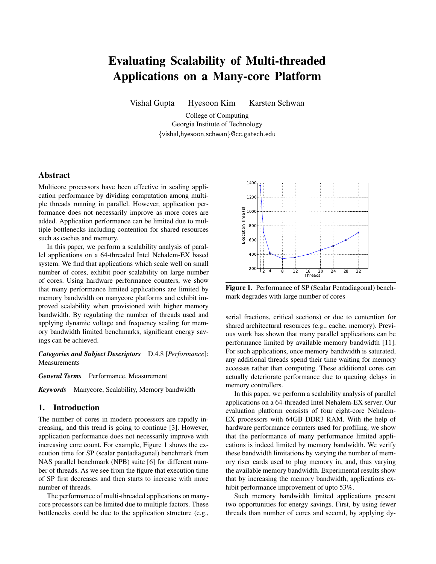# Evaluating Scalability of Multi-threaded Applications on a Many-core Platform

Vishal Gupta Hyesoon Kim Karsten Schwan

College of Computing Georgia Institute of Technology {vishal,hyesoon,schwan}@cc.gatech.edu

# **Abstract**

Multicore processors have been effective in scaling application performance by dividing computation among multiple threads running in parallel. However, application performance does not necessarily improve as more cores are added. Application performance can be limited due to multiple bottlenecks including contention for shared resources such as caches and memory.

In this paper, we perform a scalability analysis of parallel applications on a 64-threaded Intel Nehalem-EX based system. We find that applications which scale well on small number of cores, exhibit poor scalability on large number of cores. Using hardware performance counters, we show that many performance limited applications are limited by memory bandwidth on manycore platforms and exhibit improved scalability when provisioned with higher memory bandwidth. By regulating the number of threads used and applying dynamic voltage and frequency scaling for memory bandwidth limited benchmarks, significant energy savings can be achieved.

*Categories and Subject Descriptors* D.4.8 [*Performance*]: Measurements

*General Terms* Performance, Measurement

*Keywords* Manycore, Scalability, Memory bandwidth

# 1. Introduction

The number of cores in modern processors are rapidly increasing, and this trend is going to continue [3]. However, application performance does not necessarily improve with increasing core count. For example, Figure 1 shows the execution time for SP (scalar pentadiagonal) benchmark from NAS parallel benchmark (NPB) suite [6] for different number of threads. As we see from the figure that execution time of SP first decreases and then starts to increase with more number of threads.

The performance of multi-threaded applications on manycore processors can be limited due to multiple factors. These bottlenecks could be due to the application structure (e.g.,



Figure 1. Performance of SP (Scalar Pentadiagonal) benchmark degrades with large number of cores

serial fractions, critical sections) or due to contention for shared architectural resources (e.g., cache, memory). Previous work has shown that many parallel applications can be performance limited by available memory bandwidth [11]. For such applications, once memory bandwidth is saturated, any additional threads spend their time waiting for memory accesses rather than computing. These additional cores can actually deteriorate performance due to queuing delays in memory controllers.

In this paper, we perform a scalability analysis of parallel applications on a 64-threaded Intel Nehalem-EX server. Our evaluation platform consists of four eight-core Nehalem-EX processors with 64GB DDR3 RAM. With the help of hardware performance counters used for profiling, we show that the performance of many performance limited applications is indeed limited by memory bandwidth. We verify these bandwidth limitations by varying the number of memory riser cards used to plug memory in, and, thus varying the available memory bandwidth. Experimental results show that by increasing the memory bandwidth, applications exhibit performance improvement of upto 53%.

Such memory bandwidth limited applications present two opportunities for energy savings. First, by using fewer threads than number of cores and second, by applying dy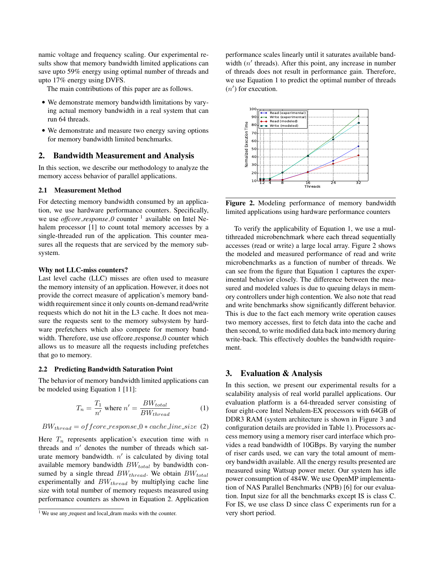namic voltage and frequency scaling. Our experimental results show that memory bandwidth limited applications can save upto 59% energy using optimal number of threads and upto 17% energy using DVFS.

The main contributions of this paper are as follows.

- We demonstrate memory bandwidth limitations by varying actual memory bandwidth in a real system that can run 64 threads.
- We demonstrate and measure two energy saving options for memory bandwidth limited benchmarks.

## 2. Bandwidth Measurement and Analysis

In this section, we describe our methodology to analyze the memory access behavior of parallel applications.

### 2.1 Measurement Method

For detecting memory bandwidth consumed by an application, we use hardware performance counters. Specifically, we use *offcore\_response\_0* counter <sup>1</sup> available on Intel Nehalem processor [1] to count total memory accesses by a single-threaded run of the application. This counter measures all the requests that are serviced by the memory subsystem.

#### Why not LLC-miss counters?

Last level cache (LLC) misses are often used to measure the memory intensity of an application. However, it does not provide the correct measure of application's memory bandwidth requirement since it only counts on-demand read/write requests which do not hit in the L3 cache. It does not measure the requests sent to the memory subsystem by hardware prefetchers which also compete for memory bandwidth. Therefore, use use offcore\_response\_0 counter which allows us to measure all the requests including prefetches that go to memory.

#### 2.2 Predicting Bandwidth Saturation Point

The behavior of memory bandwidth limited applications can be modeled using Equation 1 [11]:

$$
T_n = \frac{T_1}{n'} \text{ where } n' = \frac{BW_{total}}{BW_{thread}} \tag{1}
$$

$$
BW_{thread} = of force\_response_0 * cache\_line\_size
$$
 (2)

Here  $T_n$  represents application's execution time with n threads and  $n'$  denotes the number of threads which saturate memory bandwidth.  $n'$  is calculated by diving total available memory bandwidth  $BW_{total}$  by bandwidth consumed by a single thread  $BW_{thread}$ . We obtain  $BW_{total}$ experimentally and  $BW_{thread}$  by multiplying cache line size with total number of memory requests measured using performance counters as shown in Equation 2. Application performance scales linearly until it saturates available bandwidth  $(n'$  threads). After this point, any increase in number of threads does not result in performance gain. Therefore, we use Equation 1 to predict the optimal number of threads  $(n')$  for execution.



Figure 2. Modeling performance of memory bandwidth limited applications using hardware performance counters

To verify the applicability of Equation 1, we use a multithreaded microbenchmark where each thread sequentially accesses (read or write) a large local array. Figure 2 shows the modeled and measured performance of read and write microbenchmarks as a function of number of threads. We can see from the figure that Equation 1 captures the experimental behavior closely. The difference between the measured and modeled values is due to queuing delays in memory controllers under high contention. We also note that read and write benchmarks show significantly different behavior. This is due to the fact each memory write operation causes two memory accesses, first to fetch data into the cache and then second, to write modified data back into memory during write-back. This effectively doubles the bandwidth requirement.

## 3. Evaluation & Analysis

In this section, we present our experimental results for a scalability analysis of real world parallel applications. Our evaluation platform is a 64-threaded server consisting of four eight-core Intel Nehalem-EX processors with 64GB of DDR3 RAM (system architecture is shown in Figure 3 and configuration details are provided in Table 1). Processors access memory using a memory riser card interface which provides a read bandwidth of 10GBps. By varying the number of riser cards used, we can vary the total amount of memory bandwidth available. All the energy results presented are measured using Wattsup power meter. Our system has idle power consumption of 484W. We use OpenMP implementation of NAS Parallel Benchmarks (NPB) [6] for our evaluation. Input size for all the benchmarks except IS is class C. For IS, we use class D since class C experiments run for a very short period.

<sup>&</sup>lt;sup>1</sup> We use any request and local dram masks with the counter.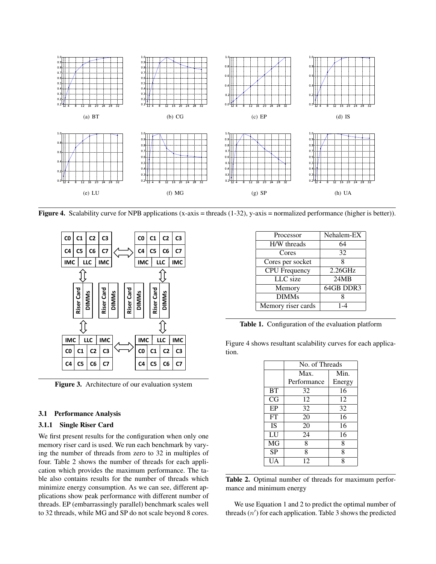

**Figure 4.** Scalability curve for NPB applications  $(x-axis)$  = threads  $(1-32)$ , y-axis = normalized performance (higher is better)).



Figure 3. Architecture of our evaluation system

#### 3.1 Performance Analysis

### 3.1.1 Single Riser Card

We first present results for the configuration when only one memory riser card is used. We run each benchmark by varying the number of threads from zero to 32 in multiples of four. Table 2 shows the number of threads for each application which provides the maximum performance. The table also contains results for the number of threads which minimize energy consumption. As we can see, different applications show peak performance with different number of threads. EP (embarrassingly parallel) benchmark scales well to 32 threads, while MG and SP do not scale beyond 8 cores.

| Processor            | Nehalem-EX |
|----------------------|------------|
| H/W threads          | 64         |
| Cores                | 32         |
| Cores per socket     | 8          |
| <b>CPU</b> Frequency | 2.26GHz    |
| LLC size             | 24MB       |
| Memory               | 64GB DDR3  |
| <b>DIMMs</b>         |            |
| Memory riser cards   | 1-4        |

Table 1. Configuration of the evaluation platform

Figure 4 shows resultant scalability curves for each application.

|           | No. of Threads |        |
|-----------|----------------|--------|
|           | Max.           | Min.   |
|           | Performance    | Energy |
| <b>BT</b> | 32             | 16     |
| CG        | 12             | 12     |
| EP        | 32             | 32     |
| FT        | 20             | 16     |
| <b>IS</b> | 20             | 16     |
| LU        | 24             | 16     |
| MG        | 8              | 8      |
| <b>SP</b> | 8              | 8      |
| UA        | 12             | 8      |

Table 2. Optimal number of threads for maximum performance and minimum energy

We use Equation 1 and 2 to predict the optimal number of threads  $(n')$  for each application. Table 3 shows the predicted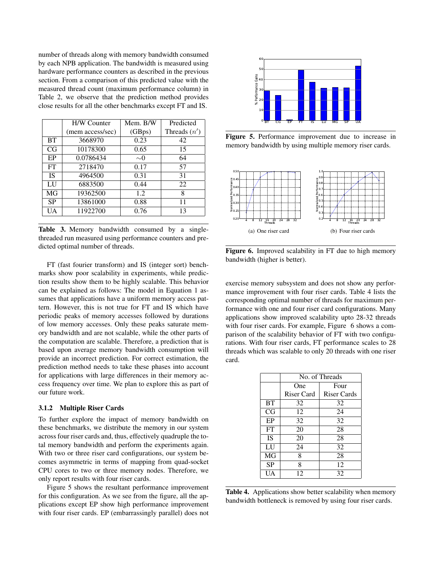number of threads along with memory bandwidth consumed by each NPB application. The bandwidth is measured using hardware performance counters as described in the previous section. From a comparison of this predicted value with the measured thread count (maximum performance column) in Table 2, we observe that the prediction method provides close results for all the other benchmarks except FT and IS.

|           | <b>H/W Counter</b> | Mem. B/W | Predicted      |
|-----------|--------------------|----------|----------------|
|           | (mem access/sec)   | (GBps)   | Threads $(n')$ |
| <b>BT</b> | 3668970            | 0.23     | 42             |
| CG        | 10178300           | 0.65     | 15             |
| EP        | 0.0786434          | $\sim 0$ | 64             |
| FT        | 2718470            | 0.17     | 57             |
| <b>IS</b> | 4964500            | 0.31     | 31             |
| LU        | 6883500            | 0.44     | 22             |
| MG        | 19362500           | 1.2.     | 8              |
| <b>SP</b> | 13861000           | 0.88     | 11             |
| <b>UA</b> | 11922700           | 0.76     | 13             |

Table 3. Memory bandwidth consumed by a singlethreaded run measured using performance counters and predicted optimal number of threads.

FT (fast fourier transform) and IS (integer sort) benchmarks show poor scalability in experiments, while prediction results show them to be highly scalable. This behavior can be explained as follows: The model in Equation 1 assumes that applications have a uniform memory access pattern. However, this is not true for FT and IS which have periodic peaks of memory accesses followed by durations of low memory accesses. Only these peaks saturate memory bandwidth and are not scalable, while the other parts of the computation are scalable. Therefore, a prediction that is based upon average memory bandwidth consumption will provide an incorrect prediction. For correct estimation, the prediction method needs to take these phases into account for applications with large differences in their memory access frequency over time. We plan to explore this as part of our future work.

#### 3.1.2 Multiple Riser Cards

To further explore the impact of memory bandwidth on these benchmarks, we distribute the memory in our system across four riser cards and, thus, effectively quadruple the total memory bandwidth and perform the experiments again. With two or three riser card configurations, our system becomes asymmetric in terms of mapping from quad-socket CPU cores to two or three memory nodes. Therefore, we only report results with four riser cards.

Figure 5 shows the resultant performance improvement for this configuration. As we see from the figure, all the applications except EP show high performance improvement with four riser cards. EP (embarrassingly parallel) does not



Figure 5. Performance improvement due to increase in memory bandwidth by using multiple memory riser cards.



Figure 6. Improved scalability in FT due to high memory bandwidth (higher is better).

exercise memory subsystem and does not show any performance improvement with four riser cards. Table 4 lists the corresponding optimal number of threads for maximum performance with one and four riser card configurations. Many applications show improved scalability upto 28-32 threads with four riser cards. For example, Figure 6 shows a comparison of the scalability behavior of FT with two configurations. With four riser cards, FT performance scales to 28 threads which was scalable to only 20 threads with one riser card.

|           | No. of Threads |                    |  |
|-----------|----------------|--------------------|--|
|           | One            | Four               |  |
|           | Riser Card     | <b>Riser Cards</b> |  |
| <b>BT</b> | 32             | 32                 |  |
| CG        | 12             | 24                 |  |
| EP        | 32             | 32                 |  |
| FT        | 20             | 28                 |  |
| <b>IS</b> | 20             | 28                 |  |
| LU        | 24             | 32                 |  |
| MG        | 8              | 28                 |  |
| <b>SP</b> | 8              | 12                 |  |
| UA        | 12             | 32                 |  |

Table 4. Applications show better scalability when memory bandwidth bottleneck is removed by using four riser cards.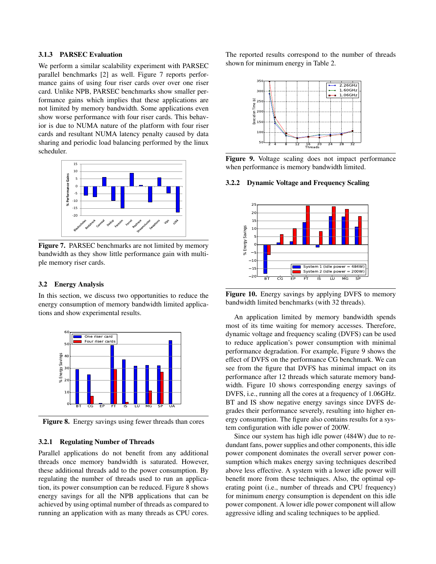# 3.1.3 PARSEC Evaluation

We perform a similar scalability experiment with PARSEC parallel benchmarks [2] as well. Figure 7 reports performance gains of using four riser cards over over one riser card. Unlike NPB, PARSEC benchmarks show smaller performance gains which implies that these applications are not limited by memory bandwidth. Some applications even show worse performance with four riser cards. This behavior is due to NUMA nature of the platform with four riser cards and resultant NUMA latency penalty caused by data sharing and periodic load balancing performed by the linux scheduler.



Figure 7. PARSEC benchmarks are not limited by memory bandwidth as they show little performance gain with multiple memory riser cards.

### 3.2 Energy Analysis

In this section, we discuss two opportunities to reduce the energy consumption of memory bandwidth limited applications and show experimental results.



Figure 8. Energy savings using fewer threads than cores

## 3.2.1 Regulating Number of Threads

Parallel applications do not benefit from any additional threads once memory bandwidth is saturated. However, these additional threads add to the power consumption. By regulating the number of threads used to run an application, its power consumption can be reduced. Figure 8 shows energy savings for all the NPB applications that can be achieved by using optimal number of threads as compared to running an application with as many threads as CPU cores.

The reported results correspond to the number of threads shown for minimum energy in Table 2.



Figure 9. Voltage scaling does not impact performance when performance is memory bandwidth limited.

#### 3.2.2 Dynamic Voltage and Frequency Scaling



Figure 10. Energy savings by applying DVFS to memory bandwidth limited benchmarks (with 32 threads).

An application limited by memory bandwidth spends most of its time waiting for memory accesses. Therefore, dynamic voltage and frequency scaling (DVFS) can be used to reduce application's power consumption with minimal performance degradation. For example, Figure 9 shows the effect of DVFS on the performance CG benchmark. We can see from the figure that DVFS has minimal impact on its performance after 12 threads which saturate memory bandwidth. Figure 10 shows corresponding energy savings of DVFS, i.e., running all the cores at a frequency of 1.06GHz. BT and IS show negative energy savings since DVFS degrades their performance severely, resulting into higher energy consumption. The figure also contains results for a system configuration with idle power of 200W.

Since our system has high idle power (484W) due to redundant fans, power supplies and other components, this idle power component dominates the overall server power consumption which makes energy saving techniques described above less effective. A system with a lower idle power will benefit more from these techniques. Also, the optimal operating point (i.e., number of threads and CPU frequency) for minimum energy consumption is dependent on this idle power component. A lower idle power component will allow aggressive idling and scaling techniques to be applied.